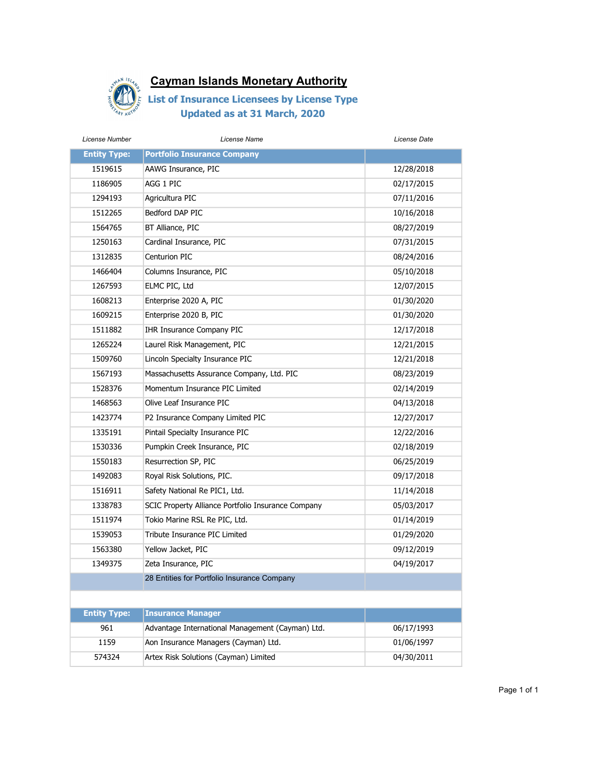

| License Number      | License Name                                       | License Date |
|---------------------|----------------------------------------------------|--------------|
| <b>Entity Type:</b> | <b>Portfolio Insurance Company</b>                 |              |
| 1519615             | AAWG Insurance, PIC                                | 12/28/2018   |
| 1186905             | AGG 1 PIC                                          | 02/17/2015   |
| 1294193             | Agricultura PIC                                    | 07/11/2016   |
| 1512265             | Bedford DAP PIC                                    | 10/16/2018   |
| 1564765             | BT Alliance, PIC                                   | 08/27/2019   |
| 1250163             | Cardinal Insurance, PIC                            | 07/31/2015   |
| 1312835             | Centurion PIC                                      | 08/24/2016   |
| 1466404             | Columns Insurance, PIC                             | 05/10/2018   |
| 1267593             | ELMC PIC, Ltd                                      | 12/07/2015   |
| 1608213             | Enterprise 2020 A, PIC                             | 01/30/2020   |
| 1609215             | Enterprise 2020 B, PIC                             | 01/30/2020   |
| 1511882             | IHR Insurance Company PIC                          | 12/17/2018   |
| 1265224             | Laurel Risk Management, PIC                        | 12/21/2015   |
| 1509760             | Lincoln Specialty Insurance PIC                    | 12/21/2018   |
| 1567193             | Massachusetts Assurance Company, Ltd. PIC          | 08/23/2019   |
| 1528376             | Momentum Insurance PIC Limited                     | 02/14/2019   |
| 1468563             | Olive Leaf Insurance PIC                           | 04/13/2018   |
| 1423774             | P2 Insurance Company Limited PIC                   | 12/27/2017   |
| 1335191             | Pintail Specialty Insurance PIC                    | 12/22/2016   |
| 1530336             | Pumpkin Creek Insurance, PIC                       | 02/18/2019   |
| 1550183             | Resurrection SP, PIC                               | 06/25/2019   |
| 1492083             | Royal Risk Solutions, PIC.                         | 09/17/2018   |
| 1516911             | Safety National Re PIC1, Ltd.                      | 11/14/2018   |
| 1338783             | SCIC Property Alliance Portfolio Insurance Company | 05/03/2017   |
| 1511974             | Tokio Marine RSL Re PIC, Ltd.                      | 01/14/2019   |
| 1539053             | Tribute Insurance PIC Limited                      | 01/29/2020   |
| 1563380             | Yellow Jacket, PIC                                 | 09/12/2019   |
| 1349375             | Zeta Insurance, PIC                                | 04/19/2017   |
|                     | 28 Entities for Portfolio Insurance Company        |              |
|                     |                                                    |              |
| <b>Entity Type:</b> | <b>Insurance Manager</b>                           |              |
| 961                 | Advantage International Management (Cayman) Ltd.   | 06/17/1993   |
| 1159                | Aon Insurance Managers (Cayman) Ltd.               | 01/06/1997   |
| 574324              | Artex Risk Solutions (Cayman) Limited              | 04/30/2011   |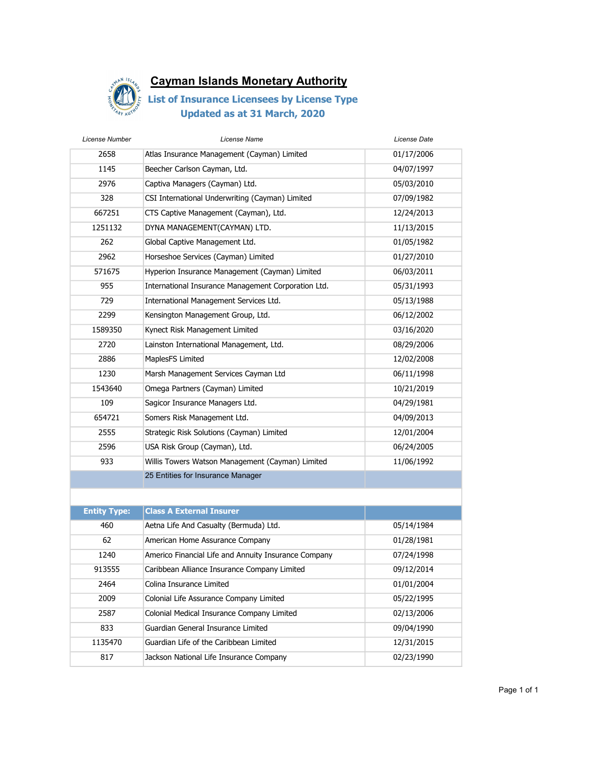

| License Number      | License Name                                         | License Date |
|---------------------|------------------------------------------------------|--------------|
| 2658                | Atlas Insurance Management (Cayman) Limited          | 01/17/2006   |
| 1145                | Beecher Carlson Cayman, Ltd.                         | 04/07/1997   |
| 2976                | Captiva Managers (Cayman) Ltd.                       | 05/03/2010   |
| 328                 | CSI International Underwriting (Cayman) Limited      | 07/09/1982   |
| 667251              | CTS Captive Management (Cayman), Ltd.                | 12/24/2013   |
| 1251132             | DYNA MANAGEMENT(CAYMAN) LTD.                         | 11/13/2015   |
| 262                 | Global Captive Management Ltd.                       | 01/05/1982   |
| 2962                | Horseshoe Services (Cayman) Limited                  | 01/27/2010   |
| 571675              | Hyperion Insurance Management (Cayman) Limited       | 06/03/2011   |
| 955                 | International Insurance Management Corporation Ltd.  | 05/31/1993   |
| 729                 | International Management Services Ltd.               | 05/13/1988   |
| 2299                | Kensington Management Group, Ltd.                    | 06/12/2002   |
| 1589350             | Kynect Risk Management Limited                       | 03/16/2020   |
| 2720                | Lainston International Management, Ltd.              | 08/29/2006   |
| 2886                | MaplesFS Limited                                     | 12/02/2008   |
| 1230                | Marsh Management Services Cayman Ltd                 | 06/11/1998   |
| 1543640             | Omega Partners (Cayman) Limited                      | 10/21/2019   |
| 109                 | Sagicor Insurance Managers Ltd.                      | 04/29/1981   |
| 654721              | Somers Risk Management Ltd.                          | 04/09/2013   |
| 2555                | Strategic Risk Solutions (Cayman) Limited            | 12/01/2004   |
| 2596                | USA Risk Group (Cayman), Ltd.                        | 06/24/2005   |
| 933                 | Willis Towers Watson Management (Cayman) Limited     | 11/06/1992   |
|                     | 25 Entities for Insurance Manager                    |              |
|                     |                                                      |              |
| <b>Entity Type:</b> | <b>Class A External Insurer</b>                      |              |
| 460                 | Aetna Life And Casualty (Bermuda) Ltd.               | 05/14/1984   |
| 62                  | American Home Assurance Company                      | 01/28/1981   |
| 1240                | Americo Financial Life and Annuity Insurance Company | 07/24/1998   |
| 913555              | Caribbean Alliance Insurance Company Limited         | 09/12/2014   |
| 2464                | Colina Insurance Limited                             | 01/01/2004   |
| 2009                | Colonial Life Assurance Company Limited              | 05/22/1995   |
| 2587                | Colonial Medical Insurance Company Limited           | 02/13/2006   |
| 833                 | Guardian General Insurance Limited                   | 09/04/1990   |
| 1135470             | Guardian Life of the Caribbean Limited               | 12/31/2015   |
| 817                 | Jackson National Life Insurance Company              | 02/23/1990   |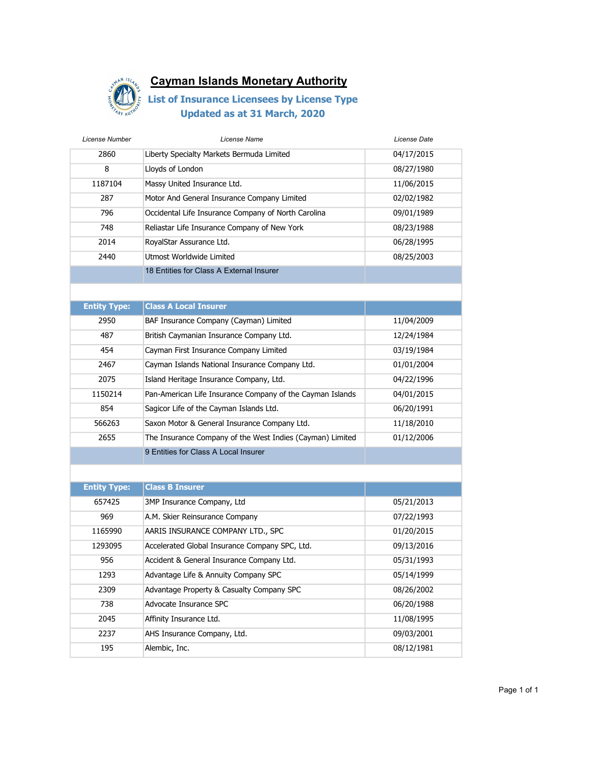

| License Number      | License Name                                              | License Date |
|---------------------|-----------------------------------------------------------|--------------|
| 2860                | Liberty Specialty Markets Bermuda Limited                 | 04/17/2015   |
| 8                   | Lloyds of London                                          | 08/27/1980   |
| 1187104             | Massy United Insurance Ltd.                               | 11/06/2015   |
| 287                 | Motor And General Insurance Company Limited               | 02/02/1982   |
| 796                 | Occidental Life Insurance Company of North Carolina       | 09/01/1989   |
| 748                 | Reliastar Life Insurance Company of New York              | 08/23/1988   |
| 2014                | RoyalStar Assurance Ltd.                                  | 06/28/1995   |
| 2440                | Utmost Worldwide Limited                                  | 08/25/2003   |
|                     | 18 Entities for Class A External Insurer                  |              |
|                     |                                                           |              |
| <b>Entity Type:</b> | <b>Class A Local Insurer</b>                              |              |
| 2950                | BAF Insurance Company (Cayman) Limited                    | 11/04/2009   |
| 487                 | British Caymanian Insurance Company Ltd.                  | 12/24/1984   |
| 454                 | Cayman First Insurance Company Limited                    | 03/19/1984   |
| 2467                | Cayman Islands National Insurance Company Ltd.            | 01/01/2004   |
| 2075                | Island Heritage Insurance Company, Ltd.                   | 04/22/1996   |
| 1150214             | Pan-American Life Insurance Company of the Cayman Islands | 04/01/2015   |
| 854                 | Sagicor Life of the Cayman Islands Ltd.                   | 06/20/1991   |
| 566263              | Saxon Motor & General Insurance Company Ltd.              | 11/18/2010   |
| 2655                | The Insurance Company of the West Indies (Cayman) Limited | 01/12/2006   |
|                     | 9 Entities for Class A Local Insurer                      |              |
|                     |                                                           |              |
| <b>Entity Type:</b> | <b>Class B Insurer</b>                                    |              |
| 657425              | 3MP Insurance Company, Ltd                                | 05/21/2013   |
| 969                 | A.M. Skier Reinsurance Company                            | 07/22/1993   |
| 1165990             | AARIS INSURANCE COMPANY LTD., SPC                         | 01/20/2015   |
| 1293095             | Accelerated Global Insurance Company SPC, Ltd.            | 09/13/2016   |
| 956                 | Accident & General Insurance Company Ltd.                 | 05/31/1993   |
| 1293                | Advantage Life & Annuity Company SPC                      | 05/14/1999   |
| 2309                | Advantage Property & Casualty Company SPC                 | 08/26/2002   |
| 738                 | Advocate Insurance SPC                                    | 06/20/1988   |
| 2045                | Affinity Insurance Ltd.                                   | 11/08/1995   |
| 2237                | AHS Insurance Company, Ltd.                               | 09/03/2001   |
| 195                 | Alembic, Inc.                                             | 08/12/1981   |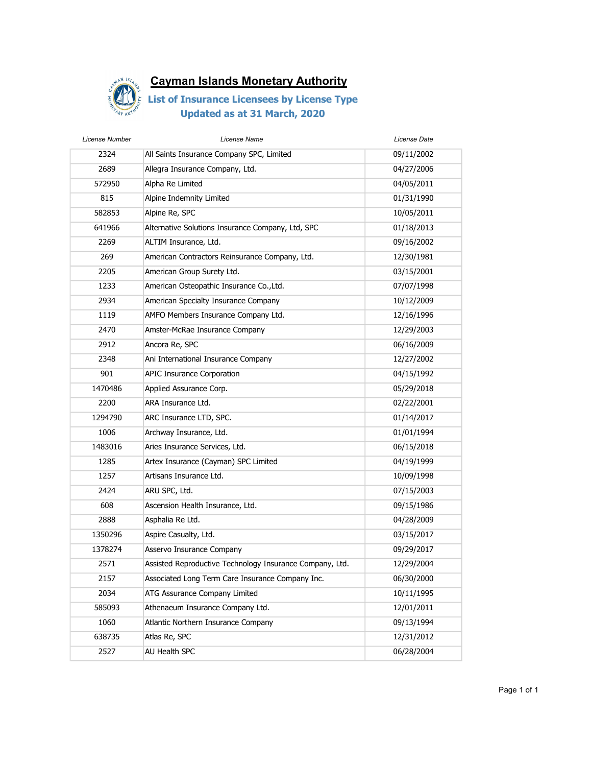

| License Number | License Name                                             | License Date |
|----------------|----------------------------------------------------------|--------------|
| 2324           | All Saints Insurance Company SPC, Limited                | 09/11/2002   |
| 2689           | Allegra Insurance Company, Ltd.                          | 04/27/2006   |
| 572950         | Alpha Re Limited                                         | 04/05/2011   |
| 815            | Alpine Indemnity Limited                                 | 01/31/1990   |
| 582853         | Alpine Re, SPC                                           | 10/05/2011   |
| 641966         | Alternative Solutions Insurance Company, Ltd, SPC        | 01/18/2013   |
| 2269           | ALTIM Insurance, Ltd.                                    | 09/16/2002   |
| 269            | American Contractors Reinsurance Company, Ltd.           | 12/30/1981   |
| 2205           | American Group Surety Ltd.                               | 03/15/2001   |
| 1233           | American Osteopathic Insurance Co., Ltd.                 | 07/07/1998   |
| 2934           | American Specialty Insurance Company                     | 10/12/2009   |
| 1119           | AMFO Members Insurance Company Ltd.                      | 12/16/1996   |
| 2470           | Amster-McRae Insurance Company                           | 12/29/2003   |
| 2912           | Ancora Re, SPC                                           | 06/16/2009   |
| 2348           | Ani International Insurance Company                      | 12/27/2002   |
| 901            | <b>APIC Insurance Corporation</b>                        | 04/15/1992   |
| 1470486        | Applied Assurance Corp.                                  | 05/29/2018   |
| 2200           | ARA Insurance Ltd.                                       | 02/22/2001   |
| 1294790        | ARC Insurance LTD, SPC.                                  | 01/14/2017   |
| 1006           | Archway Insurance, Ltd.                                  | 01/01/1994   |
| 1483016        | Aries Insurance Services, Ltd.                           | 06/15/2018   |
| 1285           | Artex Insurance (Cayman) SPC Limited                     | 04/19/1999   |
| 1257           | Artisans Insurance Ltd.                                  | 10/09/1998   |
| 2424           | ARU SPC, Ltd.                                            | 07/15/2003   |
| 608            | Ascension Health Insurance, Ltd.                         | 09/15/1986   |
| 2888           | Asphalia Re Ltd.                                         | 04/28/2009   |
| 1350296        | Aspire Casualty, Ltd.                                    | 03/15/2017   |
| 1378274        | Asservo Insurance Company                                | 09/29/2017   |
| 2571           | Assisted Reproductive Technology Insurance Company, Ltd. | 12/29/2004   |
| 2157           | Associated Long Term Care Insurance Company Inc.         | 06/30/2000   |
| 2034           | ATG Assurance Company Limited                            | 10/11/1995   |
| 585093         | Athenaeum Insurance Company Ltd.                         | 12/01/2011   |
| 1060           | Atlantic Northern Insurance Company                      | 09/13/1994   |
| 638735         | Atlas Re, SPC                                            | 12/31/2012   |
| 2527           | AU Health SPC                                            | 06/28/2004   |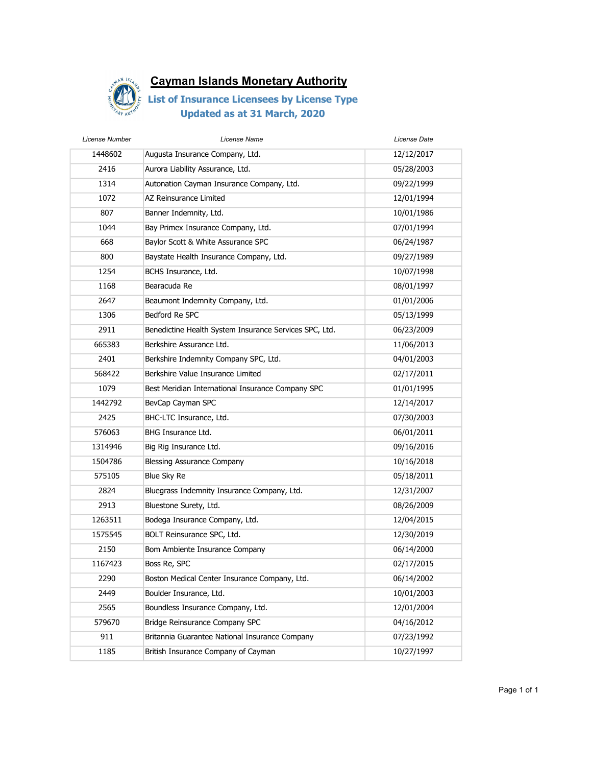

| License Number | License Name                                           | License Date |
|----------------|--------------------------------------------------------|--------------|
| 1448602        | Augusta Insurance Company, Ltd.                        | 12/12/2017   |
| 2416           | Aurora Liability Assurance, Ltd.                       | 05/28/2003   |
| 1314           | Autonation Cayman Insurance Company, Ltd.              | 09/22/1999   |
| 1072           | AZ Reinsurance Limited                                 | 12/01/1994   |
| 807            | Banner Indemnity, Ltd.                                 | 10/01/1986   |
| 1044           | Bay Primex Insurance Company, Ltd.                     | 07/01/1994   |
| 668            | Baylor Scott & White Assurance SPC                     | 06/24/1987   |
| 800            | Baystate Health Insurance Company, Ltd.                | 09/27/1989   |
| 1254           | BCHS Insurance, Ltd.                                   | 10/07/1998   |
| 1168           | Bearacuda Re                                           | 08/01/1997   |
| 2647           | Beaumont Indemnity Company, Ltd.                       | 01/01/2006   |
| 1306           | Bedford Re SPC                                         | 05/13/1999   |
| 2911           | Benedictine Health System Insurance Services SPC, Ltd. | 06/23/2009   |
| 665383         | Berkshire Assurance Ltd.                               | 11/06/2013   |
| 2401           | Berkshire Indemnity Company SPC, Ltd.                  | 04/01/2003   |
| 568422         | Berkshire Value Insurance Limited                      | 02/17/2011   |
| 1079           | Best Meridian International Insurance Company SPC      | 01/01/1995   |
| 1442792        | BevCap Cayman SPC                                      | 12/14/2017   |
| 2425           | BHC-LTC Insurance, Ltd.                                | 07/30/2003   |
| 576063         | BHG Insurance Ltd.                                     | 06/01/2011   |
| 1314946        | Big Rig Insurance Ltd.                                 | 09/16/2016   |
| 1504786        | <b>Blessing Assurance Company</b>                      | 10/16/2018   |
| 575105         | Blue Sky Re                                            | 05/18/2011   |
| 2824           | Bluegrass Indemnity Insurance Company, Ltd.            | 12/31/2007   |
| 2913           | Bluestone Surety, Ltd.                                 | 08/26/2009   |
| 1263511        | Bodega Insurance Company, Ltd.                         | 12/04/2015   |
| 1575545        | BOLT Reinsurance SPC, Ltd.                             | 12/30/2019   |
| 2150           | Bom Ambiente Insurance Company                         | 06/14/2000   |
| 1167423        | Boss Re, SPC                                           | 02/17/2015   |
| 2290           | Boston Medical Center Insurance Company, Ltd.          | 06/14/2002   |
| 2449           | Boulder Insurance, Ltd.                                | 10/01/2003   |
| 2565           | Boundless Insurance Company, Ltd.                      | 12/01/2004   |
| 579670         | Bridge Reinsurance Company SPC                         | 04/16/2012   |
| 911            | Britannia Guarantee National Insurance Company         | 07/23/1992   |
| 1185           | British Insurance Company of Cayman                    | 10/27/1997   |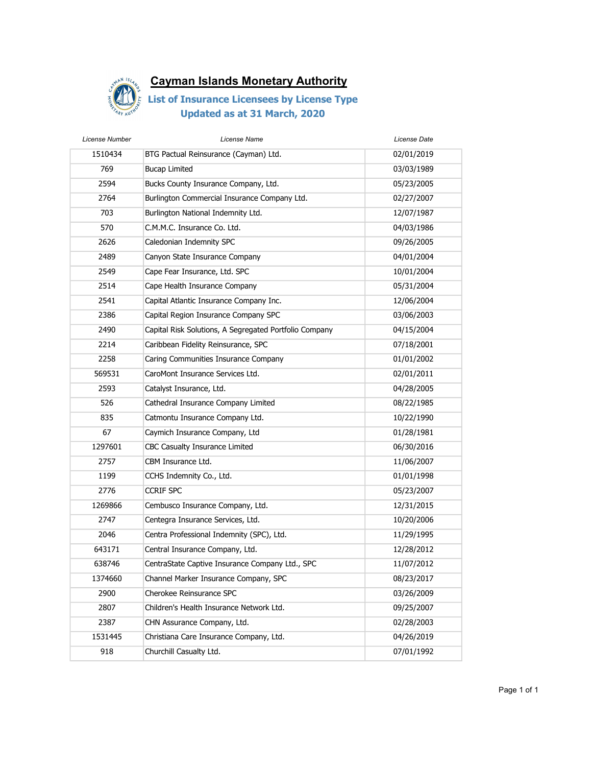

| License Number | License Name                                           | License Date |
|----------------|--------------------------------------------------------|--------------|
| 1510434        | BTG Pactual Reinsurance (Cayman) Ltd.                  | 02/01/2019   |
| 769            | <b>Bucap Limited</b>                                   | 03/03/1989   |
| 2594           | Bucks County Insurance Company, Ltd.                   | 05/23/2005   |
| 2764           | Burlington Commercial Insurance Company Ltd.           | 02/27/2007   |
| 703            | Burlington National Indemnity Ltd.                     | 12/07/1987   |
| 570            | C.M.M.C. Insurance Co. Ltd.                            | 04/03/1986   |
| 2626           | Caledonian Indemnity SPC                               | 09/26/2005   |
| 2489           | Canyon State Insurance Company                         | 04/01/2004   |
| 2549           | Cape Fear Insurance, Ltd. SPC                          | 10/01/2004   |
| 2514           | Cape Health Insurance Company                          | 05/31/2004   |
| 2541           | Capital Atlantic Insurance Company Inc.                | 12/06/2004   |
| 2386           | Capital Region Insurance Company SPC                   | 03/06/2003   |
| 2490           | Capital Risk Solutions, A Segregated Portfolio Company | 04/15/2004   |
| 2214           | Caribbean Fidelity Reinsurance, SPC                    | 07/18/2001   |
| 2258           | Caring Communities Insurance Company                   | 01/01/2002   |
| 569531         | CaroMont Insurance Services Ltd.                       | 02/01/2011   |
| 2593           | Catalyst Insurance, Ltd.                               | 04/28/2005   |
| 526            | Cathedral Insurance Company Limited                    | 08/22/1985   |
| 835            | Catmontu Insurance Company Ltd.                        | 10/22/1990   |
| 67             | Caymich Insurance Company, Ltd                         | 01/28/1981   |
| 1297601        | CBC Casualty Insurance Limited                         | 06/30/2016   |
| 2757           | CBM Insurance Ltd.                                     | 11/06/2007   |
| 1199           | CCHS Indemnity Co., Ltd.                               | 01/01/1998   |
| 2776           | <b>CCRIF SPC</b>                                       | 05/23/2007   |
| 1269866        | Cembusco Insurance Company, Ltd.                       | 12/31/2015   |
| 2747           | Centegra Insurance Services, Ltd.                      | 10/20/2006   |
| 2046           | Centra Professional Indemnity (SPC), Ltd.              | 11/29/1995   |
| 643171         | Central Insurance Company, Ltd.                        | 12/28/2012   |
| 638746         | CentraState Captive Insurance Company Ltd., SPC        | 11/07/2012   |
| 1374660        | Channel Marker Insurance Company, SPC                  | 08/23/2017   |
| 2900           | Cherokee Reinsurance SPC                               | 03/26/2009   |
| 2807           | Children's Health Insurance Network Ltd.               | 09/25/2007   |
| 2387           | CHN Assurance Company, Ltd.                            | 02/28/2003   |
| 1531445        | Christiana Care Insurance Company, Ltd.                | 04/26/2019   |
| 918            | Churchill Casualty Ltd.                                | 07/01/1992   |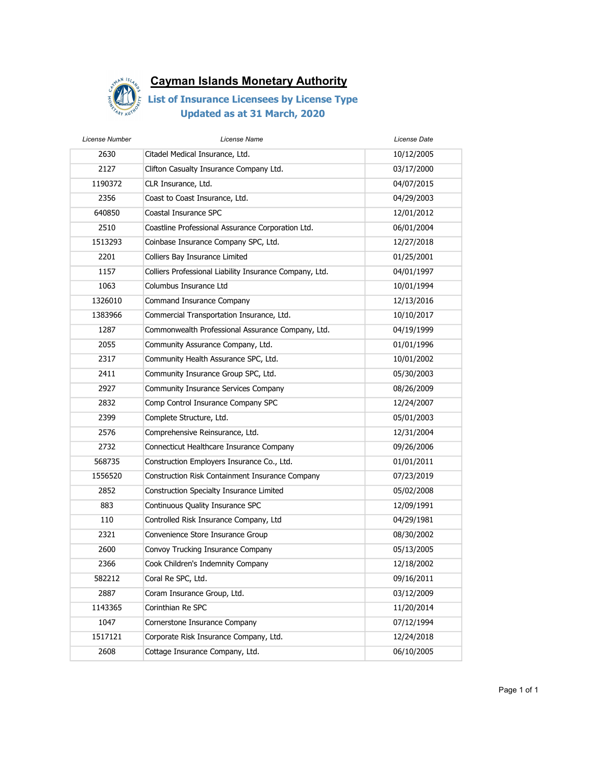

| License Number | License Name                                            | License Date |
|----------------|---------------------------------------------------------|--------------|
| 2630           | Citadel Medical Insurance, Ltd.                         | 10/12/2005   |
| 2127           | Clifton Casualty Insurance Company Ltd.                 | 03/17/2000   |
| 1190372        | CLR Insurance, Ltd.                                     | 04/07/2015   |
| 2356           | Coast to Coast Insurance, Ltd.                          | 04/29/2003   |
| 640850         | Coastal Insurance SPC                                   | 12/01/2012   |
| 2510           | Coastline Professional Assurance Corporation Ltd.       | 06/01/2004   |
| 1513293        | Coinbase Insurance Company SPC, Ltd.                    | 12/27/2018   |
| 2201           | Colliers Bay Insurance Limited                          | 01/25/2001   |
| 1157           | Colliers Professional Liability Insurance Company, Ltd. | 04/01/1997   |
| 1063           | Columbus Insurance Ltd                                  | 10/01/1994   |
| 1326010        | Command Insurance Company                               | 12/13/2016   |
| 1383966        | Commercial Transportation Insurance, Ltd.               | 10/10/2017   |
| 1287           | Commonwealth Professional Assurance Company, Ltd.       | 04/19/1999   |
| 2055           | Community Assurance Company, Ltd.                       | 01/01/1996   |
| 2317           | Community Health Assurance SPC, Ltd.                    | 10/01/2002   |
| 2411           | Community Insurance Group SPC, Ltd.                     | 05/30/2003   |
| 2927           | Community Insurance Services Company                    | 08/26/2009   |
| 2832           | Comp Control Insurance Company SPC                      | 12/24/2007   |
| 2399           | Complete Structure, Ltd.                                | 05/01/2003   |
| 2576           | Comprehensive Reinsurance, Ltd.                         | 12/31/2004   |
| 2732           | Connecticut Healthcare Insurance Company                | 09/26/2006   |
| 568735         | Construction Employers Insurance Co., Ltd.              | 01/01/2011   |
| 1556520        | Construction Risk Containment Insurance Company         | 07/23/2019   |
| 2852           | Construction Specialty Insurance Limited                | 05/02/2008   |
| 883            | Continuous Quality Insurance SPC                        | 12/09/1991   |
| 110            | Controlled Risk Insurance Company, Ltd                  | 04/29/1981   |
| 2321           | Convenience Store Insurance Group                       | 08/30/2002   |
| 2600           | Convoy Trucking Insurance Company                       | 05/13/2005   |
| 2366           | Cook Children's Indemnity Company                       | 12/18/2002   |
| 582212         | Coral Re SPC, Ltd.                                      | 09/16/2011   |
| 2887           | Coram Insurance Group, Ltd.                             | 03/12/2009   |
| 1143365        | Corinthian Re SPC                                       | 11/20/2014   |
| 1047           | Cornerstone Insurance Company                           | 07/12/1994   |
| 1517121        | Corporate Risk Insurance Company, Ltd.                  | 12/24/2018   |
| 2608           | Cottage Insurance Company, Ltd.                         | 06/10/2005   |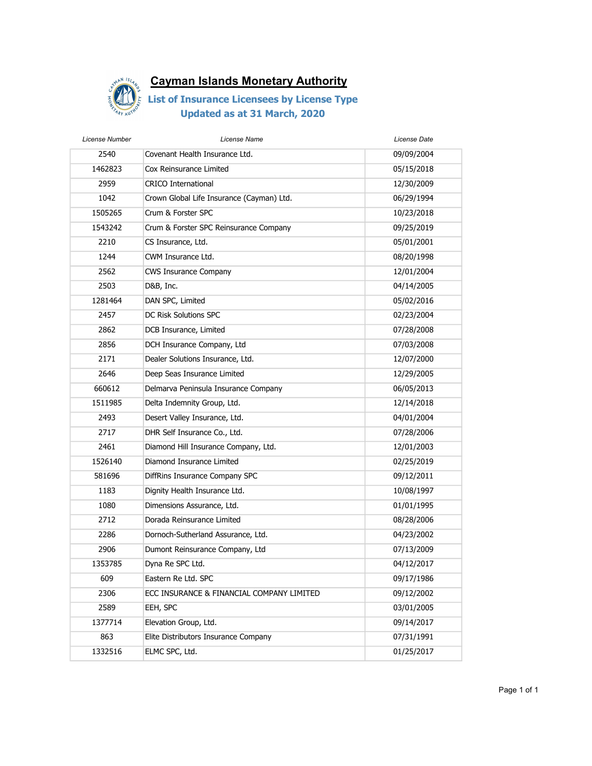

| License Number | License Name                              | License Date |
|----------------|-------------------------------------------|--------------|
| 2540           | Covenant Health Insurance Ltd.            | 09/09/2004   |
| 1462823        | Cox Reinsurance Limited                   | 05/15/2018   |
| 2959           | <b>CRICO International</b>                | 12/30/2009   |
| 1042           | Crown Global Life Insurance (Cayman) Ltd. | 06/29/1994   |
| 1505265        | Crum & Forster SPC                        | 10/23/2018   |
| 1543242        | Crum & Forster SPC Reinsurance Company    | 09/25/2019   |
| 2210           | CS Insurance, Ltd.                        | 05/01/2001   |
| 1244           | CWM Insurance Ltd.                        | 08/20/1998   |
| 2562           | <b>CWS Insurance Company</b>              | 12/01/2004   |
| 2503           | D&B, Inc.                                 | 04/14/2005   |
| 1281464        | DAN SPC, Limited                          | 05/02/2016   |
| 2457           | DC Risk Solutions SPC                     | 02/23/2004   |
| 2862           | DCB Insurance, Limited                    | 07/28/2008   |
| 2856           | DCH Insurance Company, Ltd                | 07/03/2008   |
| 2171           | Dealer Solutions Insurance, Ltd.          | 12/07/2000   |
| 2646           | Deep Seas Insurance Limited               | 12/29/2005   |
| 660612         | Delmarva Peninsula Insurance Company      | 06/05/2013   |
| 1511985        | Delta Indemnity Group, Ltd.               | 12/14/2018   |
| 2493           | Desert Valley Insurance, Ltd.             | 04/01/2004   |
| 2717           | DHR Self Insurance Co., Ltd.              | 07/28/2006   |
| 2461           | Diamond Hill Insurance Company, Ltd.      | 12/01/2003   |
| 1526140        | Diamond Insurance Limited                 | 02/25/2019   |
| 581696         | DiffRins Insurance Company SPC            | 09/12/2011   |
| 1183           | Dignity Health Insurance Ltd.             | 10/08/1997   |
| 1080           | Dimensions Assurance, Ltd.                | 01/01/1995   |
| 2712           | Dorada Reinsurance Limited                | 08/28/2006   |
| 2286           | Dornoch-Sutherland Assurance, Ltd.        | 04/23/2002   |
| 2906           | Dumont Reinsurance Company, Ltd           | 07/13/2009   |
| 1353785        | Dyna Re SPC Ltd.                          | 04/12/2017   |
| 609            | Eastern Re Ltd. SPC                       | 09/17/1986   |
| 2306           | ECC INSURANCE & FINANCIAL COMPANY LIMITED | 09/12/2002   |
| 2589           | EEH, SPC                                  | 03/01/2005   |
| 1377714        | Elevation Group, Ltd.                     | 09/14/2017   |
| 863            | Elite Distributors Insurance Company      | 07/31/1991   |
| 1332516        | ELMC SPC, Ltd.                            | 01/25/2017   |
|                |                                           |              |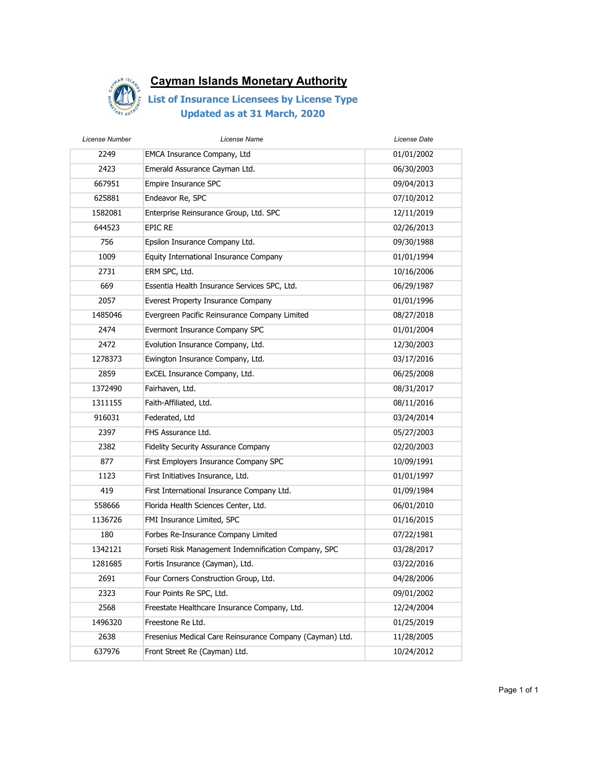

| License Number | License Name                                             | License Date |
|----------------|----------------------------------------------------------|--------------|
| 2249           | EMCA Insurance Company, Ltd                              | 01/01/2002   |
| 2423           | Emerald Assurance Cayman Ltd.                            | 06/30/2003   |
| 667951         | Empire Insurance SPC                                     | 09/04/2013   |
| 625881         | Endeavor Re, SPC                                         | 07/10/2012   |
| 1582081        | Enterprise Reinsurance Group, Ltd. SPC                   | 12/11/2019   |
| 644523         | EPIC RE                                                  | 02/26/2013   |
| 756            | Epsilon Insurance Company Ltd.                           | 09/30/1988   |
| 1009           | Equity International Insurance Company                   | 01/01/1994   |
| 2731           | ERM SPC, Ltd.                                            | 10/16/2006   |
| 669            | Essentia Health Insurance Services SPC, Ltd.             | 06/29/1987   |
| 2057           | Everest Property Insurance Company                       | 01/01/1996   |
| 1485046        | Evergreen Pacific Reinsurance Company Limited            | 08/27/2018   |
| 2474           | Evermont Insurance Company SPC                           | 01/01/2004   |
| 2472           | Evolution Insurance Company, Ltd.                        | 12/30/2003   |
| 1278373        | Ewington Insurance Company, Ltd.                         | 03/17/2016   |
| 2859           | ExCEL Insurance Company, Ltd.                            | 06/25/2008   |
| 1372490        | Fairhaven, Ltd.                                          | 08/31/2017   |
| 1311155        | Faith-Affiliated, Ltd.                                   | 08/11/2016   |
| 916031         | Federated, Ltd                                           | 03/24/2014   |
| 2397           | FHS Assurance Ltd.                                       | 05/27/2003   |
| 2382           | Fidelity Security Assurance Company                      | 02/20/2003   |
| 877            | First Employers Insurance Company SPC                    | 10/09/1991   |
| 1123           | First Initiatives Insurance, Ltd.                        | 01/01/1997   |
| 419            | First International Insurance Company Ltd.               | 01/09/1984   |
| 558666         | Florida Health Sciences Center, Ltd.                     | 06/01/2010   |
| 1136726        | FMI Insurance Limited, SPC                               | 01/16/2015   |
| 180            | Forbes Re-Insurance Company Limited                      | 07/22/1981   |
| 1342121        | Forseti Risk Management Indemnification Company, SPC     | 03/28/2017   |
| 1281685        | Fortis Insurance (Cayman), Ltd.                          | 03/22/2016   |
| 2691           | Four Corners Construction Group, Ltd.                    | 04/28/2006   |
| 2323           | Four Points Re SPC, Ltd.                                 | 09/01/2002   |
| 2568           | Freestate Healthcare Insurance Company, Ltd.             | 12/24/2004   |
| 1496320        | Freestone Re Ltd.                                        | 01/25/2019   |
| 2638           | Fresenius Medical Care Reinsurance Company (Cayman) Ltd. | 11/28/2005   |
| 637976         | Front Street Re (Cayman) Ltd.                            | 10/24/2012   |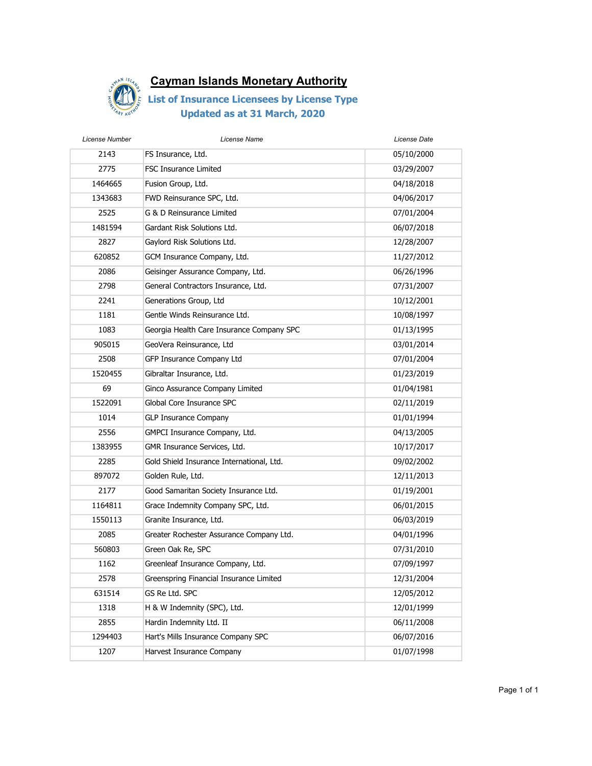

| License Number | License Name                              | License Date |
|----------------|-------------------------------------------|--------------|
| 2143           | FS Insurance, Ltd.                        | 05/10/2000   |
| 2775           | <b>FSC Insurance Limited</b>              | 03/29/2007   |
| 1464665        | Fusion Group, Ltd.                        | 04/18/2018   |
| 1343683        | FWD Reinsurance SPC, Ltd.                 | 04/06/2017   |
| 2525           | G & D Reinsurance Limited                 | 07/01/2004   |
| 1481594        | Gardant Risk Solutions Ltd.               | 06/07/2018   |
| 2827           | Gaylord Risk Solutions Ltd.               | 12/28/2007   |
| 620852         | GCM Insurance Company, Ltd.               | 11/27/2012   |
| 2086           | Geisinger Assurance Company, Ltd.         | 06/26/1996   |
| 2798           | General Contractors Insurance, Ltd.       | 07/31/2007   |
| 2241           | Generations Group, Ltd                    | 10/12/2001   |
| 1181           | Gentle Winds Reinsurance Ltd.             | 10/08/1997   |
| 1083           | Georgia Health Care Insurance Company SPC | 01/13/1995   |
| 905015         | GeoVera Reinsurance, Ltd                  | 03/01/2014   |
| 2508           | GFP Insurance Company Ltd                 | 07/01/2004   |
| 1520455        | Gibraltar Insurance, Ltd.                 | 01/23/2019   |
| 69             | Ginco Assurance Company Limited           | 01/04/1981   |
| 1522091        | Global Core Insurance SPC                 | 02/11/2019   |
| 1014           | <b>GLP Insurance Company</b>              | 01/01/1994   |
| 2556           | GMPCI Insurance Company, Ltd.             | 04/13/2005   |
| 1383955        | GMR Insurance Services, Ltd.              | 10/17/2017   |
| 2285           | Gold Shield Insurance International, Ltd. | 09/02/2002   |
| 897072         | Golden Rule, Ltd.                         | 12/11/2013   |
| 2177           | Good Samaritan Society Insurance Ltd.     | 01/19/2001   |
| 1164811        | Grace Indemnity Company SPC, Ltd.         | 06/01/2015   |
| 1550113        | Granite Insurance, Ltd.                   | 06/03/2019   |
| 2085           | Greater Rochester Assurance Company Ltd.  | 04/01/1996   |
| 560803         | Green Oak Re, SPC                         | 07/31/2010   |
| 1162           | Greenleaf Insurance Company, Ltd.         | 07/09/1997   |
| 2578           | Greenspring Financial Insurance Limited   | 12/31/2004   |
| 631514         | GS Re Ltd. SPC                            | 12/05/2012   |
| 1318           | H & W Indemnity (SPC), Ltd.               | 12/01/1999   |
| 2855           | Hardin Indemnity Ltd. II                  | 06/11/2008   |
| 1294403        | Hart's Mills Insurance Company SPC        | 06/07/2016   |
| 1207           | Harvest Insurance Company                 | 01/07/1998   |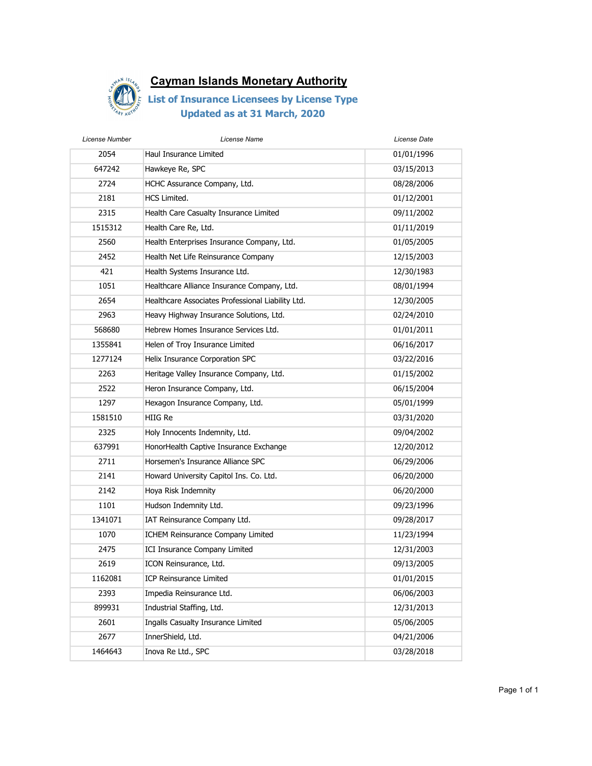

| License Number | License Name                                      | License Date |
|----------------|---------------------------------------------------|--------------|
| 2054           | Haul Insurance Limited                            | 01/01/1996   |
| 647242         | Hawkeye Re, SPC                                   | 03/15/2013   |
| 2724           | HCHC Assurance Company, Ltd.                      | 08/28/2006   |
| 2181           | <b>HCS Limited.</b>                               | 01/12/2001   |
| 2315           | Health Care Casualty Insurance Limited            | 09/11/2002   |
| 1515312        | Health Care Re, Ltd.                              | 01/11/2019   |
| 2560           | Health Enterprises Insurance Company, Ltd.        | 01/05/2005   |
| 2452           | Health Net Life Reinsurance Company               | 12/15/2003   |
| 421            | Health Systems Insurance Ltd.                     | 12/30/1983   |
| 1051           | Healthcare Alliance Insurance Company, Ltd.       | 08/01/1994   |
| 2654           | Healthcare Associates Professional Liability Ltd. | 12/30/2005   |
| 2963           | Heavy Highway Insurance Solutions, Ltd.           | 02/24/2010   |
| 568680         | Hebrew Homes Insurance Services Ltd.              | 01/01/2011   |
| 1355841        | Helen of Troy Insurance Limited                   | 06/16/2017   |
| 1277124        | Helix Insurance Corporation SPC                   | 03/22/2016   |
| 2263           | Heritage Valley Insurance Company, Ltd.           | 01/15/2002   |
| 2522           | Heron Insurance Company, Ltd.                     | 06/15/2004   |
| 1297           | Hexagon Insurance Company, Ltd.                   | 05/01/1999   |
| 1581510        | HIIG Re                                           | 03/31/2020   |
| 2325           | Holy Innocents Indemnity, Ltd.                    | 09/04/2002   |
| 637991         | HonorHealth Captive Insurance Exchange            | 12/20/2012   |
| 2711           | Horsemen's Insurance Alliance SPC                 | 06/29/2006   |
| 2141           | Howard University Capitol Ins. Co. Ltd.           | 06/20/2000   |
| 2142           | Hoya Risk Indemnity                               | 06/20/2000   |
| 1101           | Hudson Indemnity Ltd.                             | 09/23/1996   |
| 1341071        | IAT Reinsurance Company Ltd.                      | 09/28/2017   |
| 1070           | ICHEM Reinsurance Company Limited                 | 11/23/1994   |
| 2475           | ICI Insurance Company Limited                     | 12/31/2003   |
| 2619           | <b>ICON Reinsurance, Ltd.</b>                     | 09/13/2005   |
| 1162081        | ICP Reinsurance Limited                           | 01/01/2015   |
| 2393           | Impedia Reinsurance Ltd.                          | 06/06/2003   |
| 899931         | Industrial Staffing, Ltd.                         | 12/31/2013   |
| 2601           | Ingalls Casualty Insurance Limited                | 05/06/2005   |
| 2677           | InnerShield, Ltd.                                 | 04/21/2006   |
| 1464643        | Inova Re Ltd., SPC                                | 03/28/2018   |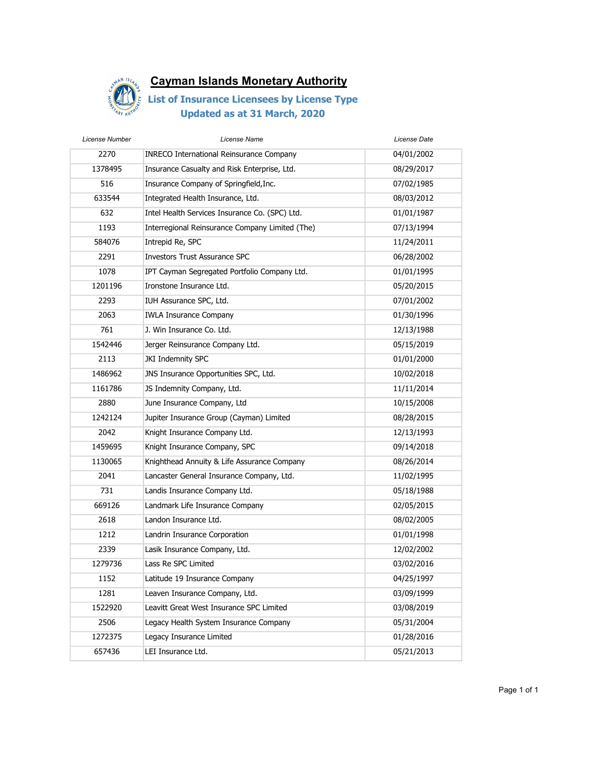

| License Number | License Name                                    | License Date |
|----------------|-------------------------------------------------|--------------|
| 2270           | <b>INRECO International Reinsurance Company</b> | 04/01/2002   |
| 1378495        | Insurance Casualty and Risk Enterprise, Ltd.    | 08/29/2017   |
| 516            | Insurance Company of Springfield, Inc.          | 07/02/1985   |
| 633544         | Integrated Health Insurance, Ltd.               | 08/03/2012   |
| 632            | Intel Health Services Insurance Co. (SPC) Ltd.  | 01/01/1987   |
| 1193           | Interregional Reinsurance Company Limited (The) | 07/13/1994   |
| 584076         | Intrepid Re, SPC                                | 11/24/2011   |
| 2291           | <b>Investors Trust Assurance SPC</b>            | 06/28/2002   |
| 1078           | IPT Cayman Segregated Portfolio Company Ltd.    | 01/01/1995   |
| 1201196        | Ironstone Insurance Ltd.                        | 05/20/2015   |
| 2293           | IUH Assurance SPC, Ltd.                         | 07/01/2002   |
| 2063           | <b>IWLA Insurance Company</b>                   | 01/30/1996   |
| 761            | J. Win Insurance Co. Ltd.                       | 12/13/1988   |
| 1542446        | Jerger Reinsurance Company Ltd.                 | 05/15/2019   |
| 2113           | JKI Indemnity SPC                               | 01/01/2000   |
| 1486962        | JNS Insurance Opportunities SPC, Ltd.           | 10/02/2018   |
| 1161786        | JS Indemnity Company, Ltd.                      | 11/11/2014   |
| 2880           | June Insurance Company, Ltd                     | 10/15/2008   |
| 1242124        | Jupiter Insurance Group (Cayman) Limited        | 08/28/2015   |
| 2042           | Knight Insurance Company Ltd.                   | 12/13/1993   |
| 1459695        | Knight Insurance Company, SPC                   | 09/14/2018   |
| 1130065        | Knighthead Annuity & Life Assurance Company     | 08/26/2014   |
| 2041           | Lancaster General Insurance Company, Ltd.       | 11/02/1995   |
| 731            | Landis Insurance Company Ltd.                   | 05/18/1988   |
| 669126         | Landmark Life Insurance Company                 | 02/05/2015   |
| 2618           | Landon Insurance Ltd.                           | 08/02/2005   |
| 1212           | Landrin Insurance Corporation                   | 01/01/1998   |
| 2339           | Lasik Insurance Company, Ltd.                   | 12/02/2002   |
| 1279736        | Lass Re SPC Limited                             | 03/02/2016   |
| 1152           | Latitude 19 Insurance Company                   | 04/25/1997   |
| 1281           | Leaven Insurance Company, Ltd.                  | 03/09/1999   |
| 1522920        | Leavitt Great West Insurance SPC Limited        | 03/08/2019   |
| 2506           | Legacy Health System Insurance Company          | 05/31/2004   |
| 1272375        | Legacy Insurance Limited                        | 01/28/2016   |
| 657436         | LEI Insurance Ltd.                              | 05/21/2013   |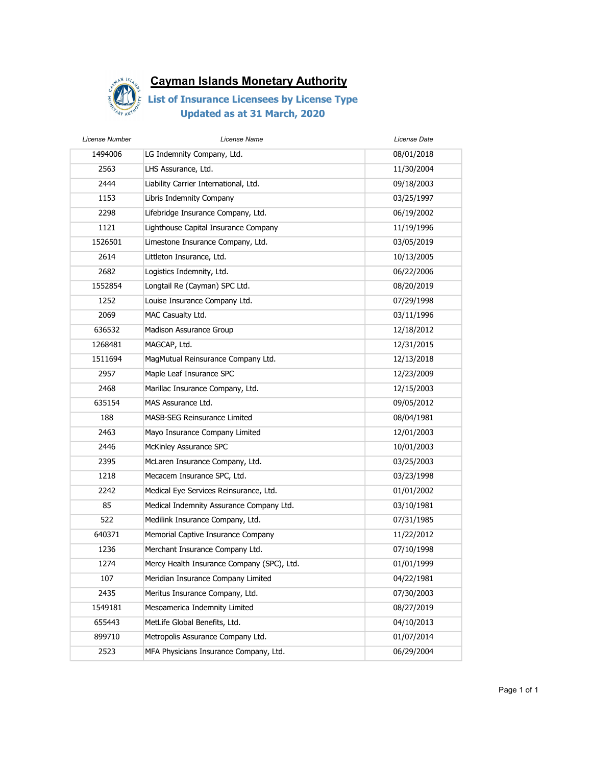

| License Number | License Name                               | License Date |
|----------------|--------------------------------------------|--------------|
| 1494006        | LG Indemnity Company, Ltd.                 | 08/01/2018   |
| 2563           | LHS Assurance, Ltd.                        | 11/30/2004   |
| 2444           | Liability Carrier International, Ltd.      | 09/18/2003   |
| 1153           | Libris Indemnity Company                   | 03/25/1997   |
| 2298           | Lifebridge Insurance Company, Ltd.         | 06/19/2002   |
| 1121           | Lighthouse Capital Insurance Company       | 11/19/1996   |
| 1526501        | Limestone Insurance Company, Ltd.          | 03/05/2019   |
| 2614           | Littleton Insurance, Ltd.                  | 10/13/2005   |
| 2682           | Logistics Indemnity, Ltd.                  | 06/22/2006   |
| 1552854        | Longtail Re (Cayman) SPC Ltd.              | 08/20/2019   |
| 1252           | Louise Insurance Company Ltd.              | 07/29/1998   |
| 2069           | MAC Casualty Ltd.                          | 03/11/1996   |
| 636532         | Madison Assurance Group                    | 12/18/2012   |
| 1268481        | MAGCAP, Ltd.                               | 12/31/2015   |
| 1511694        | MagMutual Reinsurance Company Ltd.         | 12/13/2018   |
| 2957           | Maple Leaf Insurance SPC                   | 12/23/2009   |
| 2468           | Marillac Insurance Company, Ltd.           | 12/15/2003   |
| 635154         | MAS Assurance Ltd.                         | 09/05/2012   |
| 188            | MASB-SEG Reinsurance Limited               | 08/04/1981   |
| 2463           | Mayo Insurance Company Limited             | 12/01/2003   |
| 2446           | McKinley Assurance SPC                     | 10/01/2003   |
| 2395           | McLaren Insurance Company, Ltd.            | 03/25/2003   |
| 1218           | Mecacem Insurance SPC, Ltd.                | 03/23/1998   |
| 2242           | Medical Eye Services Reinsurance, Ltd.     | 01/01/2002   |
| 85             | Medical Indemnity Assurance Company Ltd.   | 03/10/1981   |
| 522            | Medilink Insurance Company, Ltd.           | 07/31/1985   |
| 640371         | Memorial Captive Insurance Company         | 11/22/2012   |
| 1236           | Merchant Insurance Company Ltd.            | 07/10/1998   |
| 1274           | Mercy Health Insurance Company (SPC), Ltd. | 01/01/1999   |
| 107            | Meridian Insurance Company Limited         | 04/22/1981   |
| 2435           | Meritus Insurance Company, Ltd.            | 07/30/2003   |
| 1549181        | Mesoamerica Indemnity Limited              | 08/27/2019   |
| 655443         | MetLife Global Benefits, Ltd.              | 04/10/2013   |
| 899710         | Metropolis Assurance Company Ltd.          | 01/07/2014   |
| 2523           | MFA Physicians Insurance Company, Ltd.     | 06/29/2004   |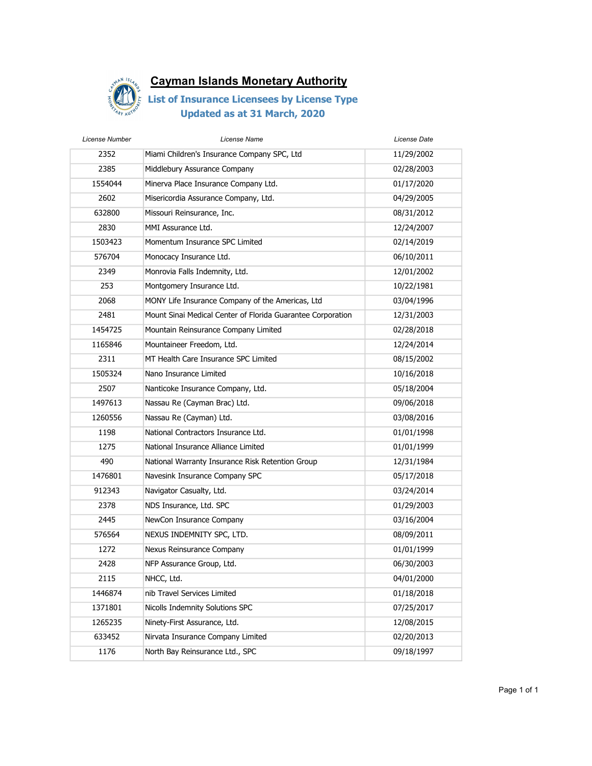

| License Number | License Name                                                | License Date |
|----------------|-------------------------------------------------------------|--------------|
| 2352           | Miami Children's Insurance Company SPC, Ltd                 | 11/29/2002   |
| 2385           | Middlebury Assurance Company                                | 02/28/2003   |
| 1554044        | Minerva Place Insurance Company Ltd.                        | 01/17/2020   |
| 2602           | Misericordia Assurance Company, Ltd.                        | 04/29/2005   |
| 632800         | Missouri Reinsurance, Inc.                                  | 08/31/2012   |
| 2830           | MMI Assurance Ltd.                                          | 12/24/2007   |
| 1503423        | Momentum Insurance SPC Limited                              | 02/14/2019   |
| 576704         | Monocacy Insurance Ltd.                                     | 06/10/2011   |
| 2349           | Monrovia Falls Indemnity, Ltd.                              | 12/01/2002   |
| 253            | Montgomery Insurance Ltd.                                   | 10/22/1981   |
| 2068           | MONY Life Insurance Company of the Americas, Ltd            | 03/04/1996   |
| 2481           | Mount Sinai Medical Center of Florida Guarantee Corporation | 12/31/2003   |
| 1454725        | Mountain Reinsurance Company Limited                        | 02/28/2018   |
| 1165846        | Mountaineer Freedom, Ltd.                                   | 12/24/2014   |
| 2311           | MT Health Care Insurance SPC Limited                        | 08/15/2002   |
| 1505324        | Nano Insurance Limited                                      | 10/16/2018   |
| 2507           | Nanticoke Insurance Company, Ltd.                           | 05/18/2004   |
| 1497613        | Nassau Re (Cayman Brac) Ltd.                                | 09/06/2018   |
| 1260556        | Nassau Re (Cayman) Ltd.                                     | 03/08/2016   |
| 1198           | National Contractors Insurance Ltd.                         | 01/01/1998   |
| 1275           | National Insurance Alliance Limited                         | 01/01/1999   |
| 490            | National Warranty Insurance Risk Retention Group            | 12/31/1984   |
| 1476801        | Navesink Insurance Company SPC                              | 05/17/2018   |
| 912343         | Navigator Casualty, Ltd.                                    | 03/24/2014   |
| 2378           | NDS Insurance, Ltd. SPC                                     | 01/29/2003   |
| 2445           | NewCon Insurance Company                                    | 03/16/2004   |
| 576564         | NEXUS INDEMNITY SPC, LTD.                                   | 08/09/2011   |
| 1272           | Nexus Reinsurance Company                                   | 01/01/1999   |
| 2428           | NFP Assurance Group, Ltd.                                   | 06/30/2003   |
| 2115           | NHCC, Ltd.                                                  | 04/01/2000   |
| 1446874        | nib Travel Services Limited                                 | 01/18/2018   |
| 1371801        | Nicolls Indemnity Solutions SPC                             | 07/25/2017   |
| 1265235        | Ninety-First Assurance, Ltd.                                | 12/08/2015   |
| 633452         | Nirvata Insurance Company Limited                           | 02/20/2013   |
| 1176           | North Bay Reinsurance Ltd., SPC                             | 09/18/1997   |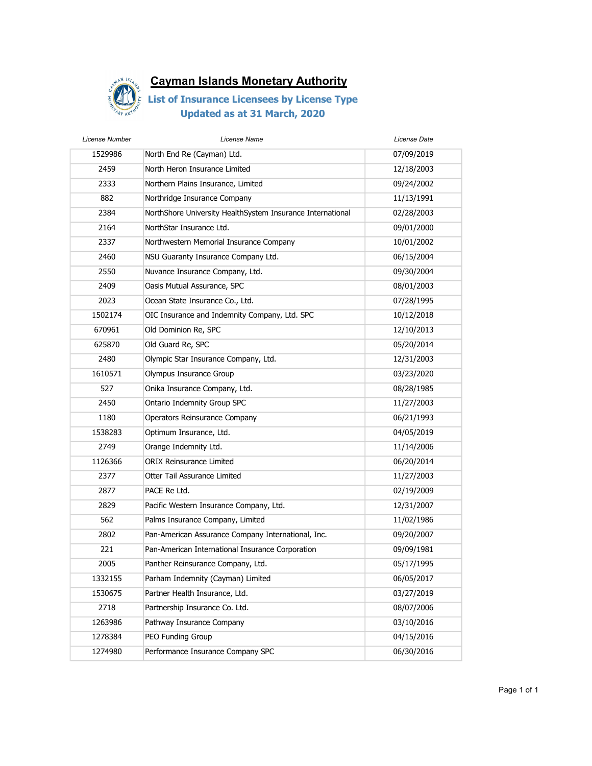

| License Number | License Name                                               | License Date |
|----------------|------------------------------------------------------------|--------------|
| 1529986        | North End Re (Cayman) Ltd.                                 | 07/09/2019   |
| 2459           | North Heron Insurance Limited                              | 12/18/2003   |
| 2333           | Northern Plains Insurance, Limited                         | 09/24/2002   |
| 882            | Northridge Insurance Company                               | 11/13/1991   |
| 2384           | NorthShore University HealthSystem Insurance International | 02/28/2003   |
| 2164           | NorthStar Insurance Ltd.                                   | 09/01/2000   |
| 2337           | Northwestern Memorial Insurance Company                    | 10/01/2002   |
| 2460           | NSU Guaranty Insurance Company Ltd.                        | 06/15/2004   |
| 2550           | Nuvance Insurance Company, Ltd.                            | 09/30/2004   |
| 2409           | Oasis Mutual Assurance, SPC                                | 08/01/2003   |
| 2023           | Ocean State Insurance Co., Ltd.                            | 07/28/1995   |
| 1502174        | OIC Insurance and Indemnity Company, Ltd. SPC              | 10/12/2018   |
| 670961         | Old Dominion Re, SPC                                       | 12/10/2013   |
| 625870         | Old Guard Re, SPC                                          | 05/20/2014   |
| 2480           | Olympic Star Insurance Company, Ltd.                       | 12/31/2003   |
| 1610571        | Olympus Insurance Group                                    | 03/23/2020   |
| 527            | Onika Insurance Company, Ltd.                              | 08/28/1985   |
| 2450           | Ontario Indemnity Group SPC                                | 11/27/2003   |
| 1180           | Operators Reinsurance Company                              | 06/21/1993   |
| 1538283        | Optimum Insurance, Ltd.                                    | 04/05/2019   |
| 2749           | Orange Indemnity Ltd.                                      | 11/14/2006   |
| 1126366        | <b>ORIX Reinsurance Limited</b>                            | 06/20/2014   |
| 2377           | Otter Tail Assurance Limited                               | 11/27/2003   |
| 2877           | PACE Re Ltd.                                               | 02/19/2009   |
| 2829           | Pacific Western Insurance Company, Ltd.                    | 12/31/2007   |
| 562            | Palms Insurance Company, Limited                           | 11/02/1986   |
| 2802           | Pan-American Assurance Company International, Inc.         | 09/20/2007   |
| 221            | Pan-American International Insurance Corporation           | 09/09/1981   |
| 2005           | Panther Reinsurance Company, Ltd.                          | 05/17/1995   |
| 1332155        | Parham Indemnity (Cayman) Limited                          | 06/05/2017   |
| 1530675        | Partner Health Insurance, Ltd.                             | 03/27/2019   |
| 2718           | Partnership Insurance Co. Ltd.                             | 08/07/2006   |
| 1263986        | Pathway Insurance Company                                  | 03/10/2016   |
| 1278384        | PEO Funding Group                                          | 04/15/2016   |
| 1274980        | Performance Insurance Company SPC                          | 06/30/2016   |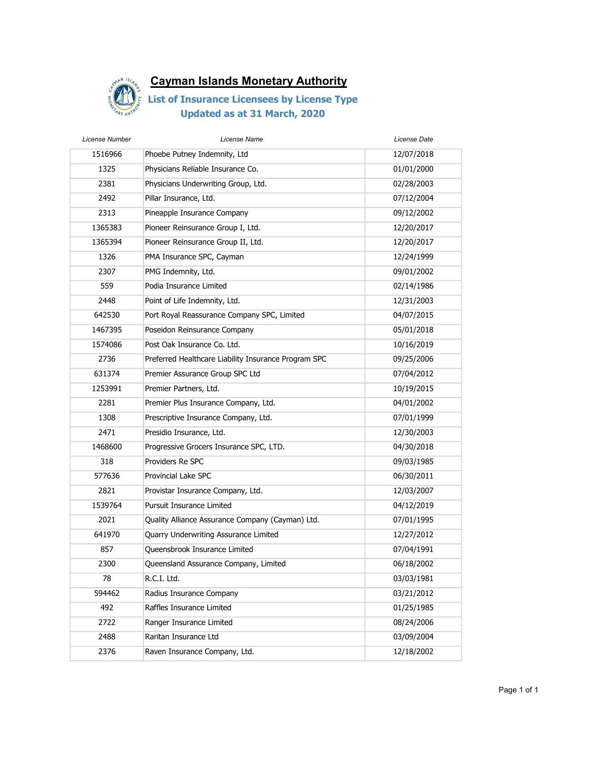

| License Number | License Name                                         | License Date |
|----------------|------------------------------------------------------|--------------|
| 1516966        | Phoebe Putney Indemnity, Ltd                         | 12/07/2018   |
| 1325           | Physicians Reliable Insurance Co.                    | 01/01/2000   |
| 2381           | Physicians Underwriting Group, Ltd.                  | 02/28/2003   |
| 2492           | Pillar Insurance, Ltd.                               | 07/12/2004   |
| 2313           | Pineapple Insurance Company                          | 09/12/2002   |
| 1365383        | Pioneer Reinsurance Group I, Ltd.                    | 12/20/2017   |
| 1365394        | Pioneer Reinsurance Group II, Ltd.                   | 12/20/2017   |
| 1326           | PMA Insurance SPC, Cayman                            | 12/24/1999   |
| 2307           | PMG Indemnity, Ltd.                                  | 09/01/2002   |
| 559            | Podia Insurance Limited                              | 02/14/1986   |
| 2448           | Point of Life Indemnity, Ltd.                        | 12/31/2003   |
| 642530         | Port Royal Reassurance Company SPC, Limited          | 04/07/2015   |
| 1467395        | Poseidon Reinsurance Company                         | 05/01/2018   |
| 1574086        | Post Oak Insurance Co. Ltd.                          | 10/16/2019   |
| 2736           | Preferred Healthcare Liability Insurance Program SPC | 09/25/2006   |
| 631374         | Premier Assurance Group SPC Ltd                      | 07/04/2012   |
| 1253991        | Premier Partners, Ltd.                               | 10/19/2015   |
| 2281           | Premier Plus Insurance Company, Ltd.                 | 04/01/2002   |
| 1308           | Prescriptive Insurance Company, Ltd.                 | 07/01/1999   |
| 2471           | Presidio Insurance, Ltd.                             | 12/30/2003   |
| 1468600        | Progressive Grocers Insurance SPC, LTD.              | 04/30/2018   |
| 318            | Providers Re SPC                                     | 09/03/1985   |
| 577636         | Provincial Lake SPC                                  | 06/30/2011   |
| 2821           | Provistar Insurance Company, Ltd.                    | 12/03/2007   |
| 1539764        | <b>Pursuit Insurance Limited</b>                     | 04/12/2019   |
| 2021           | Quality Alliance Assurance Company (Cayman) Ltd.     | 07/01/1995   |
| 641970         | Quarry Underwriting Assurance Limited                | 12/27/2012   |
| 857            | Queensbrook Insurance Limited                        | 07/04/1991   |
| 2300           | Queensland Assurance Company, Limited                | 06/18/2002   |
| 78             | R.C.I. Ltd.                                          | 03/03/1981   |
| 594462         | Radius Insurance Company                             | 03/21/2012   |
| 492            | Raffles Insurance Limited                            | 01/25/1985   |
| 2722           | Ranger Insurance Limited                             | 08/24/2006   |
| 2488           | Raritan Insurance Ltd                                | 03/09/2004   |
| 2376           | Raven Insurance Company, Ltd.                        | 12/18/2002   |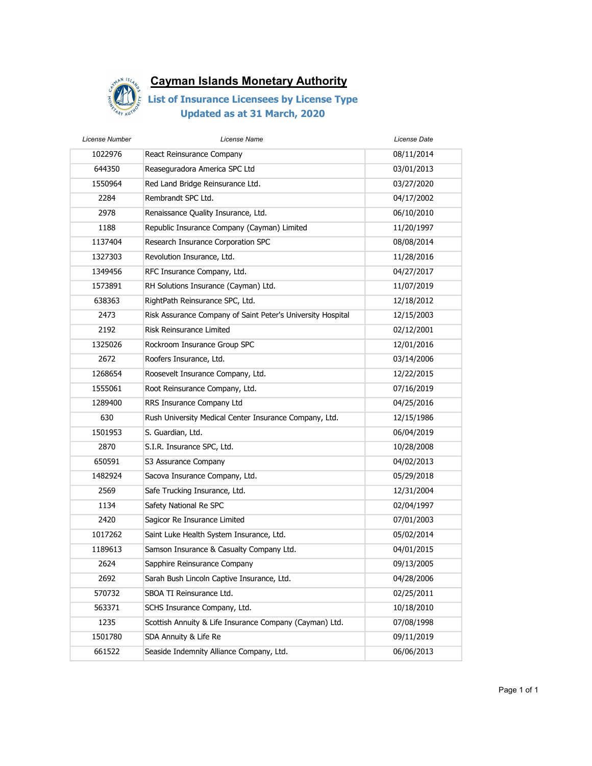

| License Name                                                | License Date |
|-------------------------------------------------------------|--------------|
| React Reinsurance Company                                   | 08/11/2014   |
| Reaseguradora America SPC Ltd                               | 03/01/2013   |
| Red Land Bridge Reinsurance Ltd.                            | 03/27/2020   |
| Rembrandt SPC Ltd.                                          | 04/17/2002   |
| Renaissance Quality Insurance, Ltd.                         | 06/10/2010   |
| Republic Insurance Company (Cayman) Limited                 | 11/20/1997   |
| Research Insurance Corporation SPC                          | 08/08/2014   |
| Revolution Insurance, Ltd.                                  | 11/28/2016   |
| RFC Insurance Company, Ltd.                                 | 04/27/2017   |
| RH Solutions Insurance (Cayman) Ltd.                        | 11/07/2019   |
| RightPath Reinsurance SPC, Ltd.                             | 12/18/2012   |
| Risk Assurance Company of Saint Peter's University Hospital | 12/15/2003   |
| Risk Reinsurance Limited                                    | 02/12/2001   |
| Rockroom Insurance Group SPC                                | 12/01/2016   |
| Roofers Insurance, Ltd.                                     | 03/14/2006   |
| Roosevelt Insurance Company, Ltd.                           | 12/22/2015   |
| Root Reinsurance Company, Ltd.                              | 07/16/2019   |
| RRS Insurance Company Ltd                                   | 04/25/2016   |
| Rush University Medical Center Insurance Company, Ltd.      | 12/15/1986   |
| S. Guardian, Ltd.                                           | 06/04/2019   |
| S.I.R. Insurance SPC, Ltd.                                  | 10/28/2008   |
| S3 Assurance Company                                        | 04/02/2013   |
| Sacova Insurance Company, Ltd.                              | 05/29/2018   |
| Safe Trucking Insurance, Ltd.                               | 12/31/2004   |
| Safety National Re SPC                                      | 02/04/1997   |
| Sagicor Re Insurance Limited                                | 07/01/2003   |
| Saint Luke Health System Insurance, Ltd.                    | 05/02/2014   |
| Samson Insurance & Casualty Company Ltd.                    | 04/01/2015   |
| Sapphire Reinsurance Company                                | 09/13/2005   |
| Sarah Bush Lincoln Captive Insurance, Ltd.                  | 04/28/2006   |
| SBOA TI Reinsurance Ltd.                                    | 02/25/2011   |
| SCHS Insurance Company, Ltd.                                | 10/18/2010   |
| Scottish Annuity & Life Insurance Company (Cayman) Ltd.     | 07/08/1998   |
| SDA Annuity & Life Re                                       | 09/11/2019   |
| Seaside Indemnity Alliance Company, Ltd.                    | 06/06/2013   |
|                                                             |              |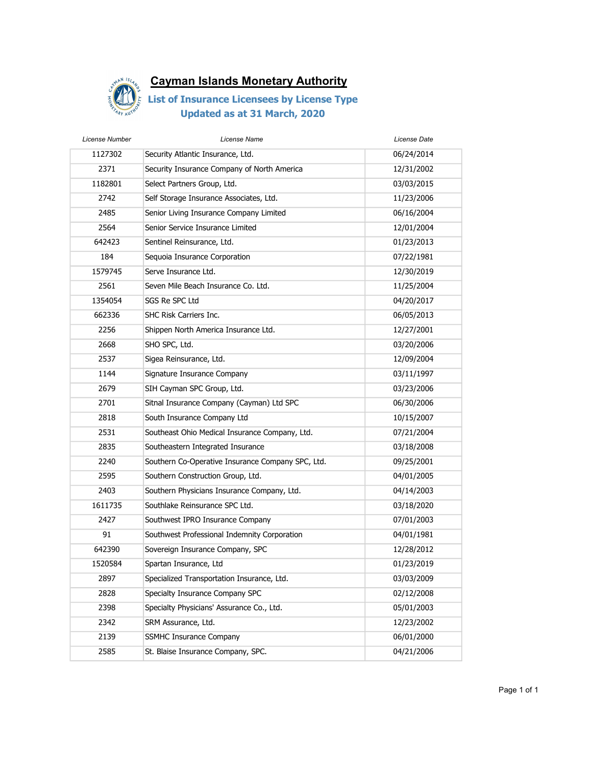

| License Number | License Name                                      | License Date |
|----------------|---------------------------------------------------|--------------|
| 1127302        | Security Atlantic Insurance, Ltd.                 | 06/24/2014   |
| 2371           | Security Insurance Company of North America       | 12/31/2002   |
| 1182801        | Select Partners Group, Ltd.                       | 03/03/2015   |
| 2742           | Self Storage Insurance Associates, Ltd.           | 11/23/2006   |
| 2485           | Senior Living Insurance Company Limited           | 06/16/2004   |
| 2564           | Senior Service Insurance Limited                  | 12/01/2004   |
| 642423         | Sentinel Reinsurance, Ltd.                        | 01/23/2013   |
| 184            | Sequoia Insurance Corporation                     | 07/22/1981   |
| 1579745        | Serve Insurance Ltd.                              | 12/30/2019   |
| 2561           | Seven Mile Beach Insurance Co. Ltd.               | 11/25/2004   |
| 1354054        | SGS Re SPC Ltd                                    | 04/20/2017   |
| 662336         | SHC Risk Carriers Inc.                            | 06/05/2013   |
| 2256           | Shippen North America Insurance Ltd.              | 12/27/2001   |
| 2668           | SHO SPC, Ltd.                                     | 03/20/2006   |
| 2537           | Sigea Reinsurance, Ltd.                           | 12/09/2004   |
| 1144           | Signature Insurance Company                       | 03/11/1997   |
| 2679           | SIH Cayman SPC Group, Ltd.                        | 03/23/2006   |
| 2701           | Sitnal Insurance Company (Cayman) Ltd SPC         | 06/30/2006   |
| 2818           | South Insurance Company Ltd                       | 10/15/2007   |
| 2531           | Southeast Ohio Medical Insurance Company, Ltd.    | 07/21/2004   |
| 2835           | Southeastern Integrated Insurance                 | 03/18/2008   |
| 2240           | Southern Co-Operative Insurance Company SPC, Ltd. | 09/25/2001   |
| 2595           | Southern Construction Group, Ltd.                 | 04/01/2005   |
| 2403           | Southern Physicians Insurance Company, Ltd.       | 04/14/2003   |
| 1611735        | Southlake Reinsurance SPC Ltd.                    | 03/18/2020   |
| 2427           | Southwest IPRO Insurance Company                  | 07/01/2003   |
| 91             | Southwest Professional Indemnity Corporation      | 04/01/1981   |
| 642390         | Sovereign Insurance Company, SPC                  | 12/28/2012   |
| 1520584        | Spartan Insurance, Ltd                            | 01/23/2019   |
| 2897           | Specialized Transportation Insurance, Ltd.        | 03/03/2009   |
| 2828           | Specialty Insurance Company SPC                   | 02/12/2008   |
| 2398           | Specialty Physicians' Assurance Co., Ltd.         | 05/01/2003   |
| 2342           | SRM Assurance, Ltd.                               | 12/23/2002   |
| 2139           | <b>SSMHC Insurance Company</b>                    | 06/01/2000   |
| 2585           | St. Blaise Insurance Company, SPC.                | 04/21/2006   |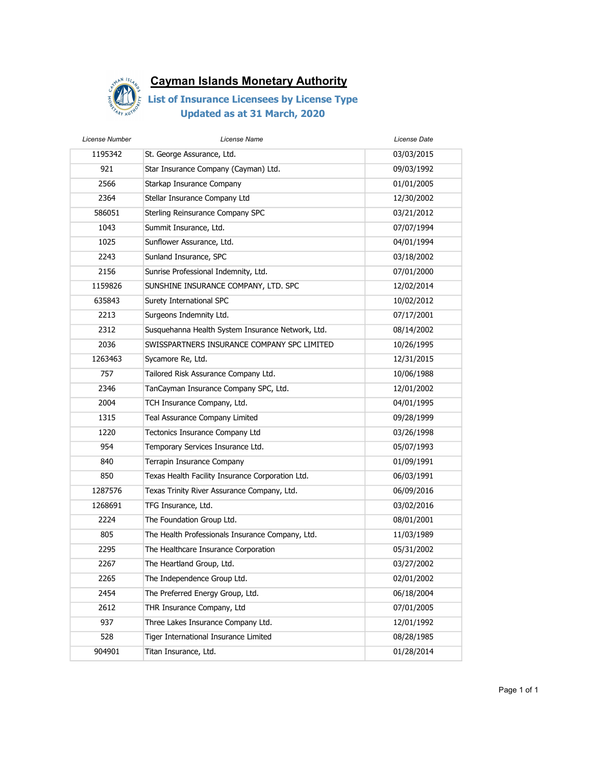

| License Number | License Name                                      | License Date |
|----------------|---------------------------------------------------|--------------|
| 1195342        | St. George Assurance, Ltd.                        | 03/03/2015   |
| 921            | Star Insurance Company (Cayman) Ltd.              | 09/03/1992   |
| 2566           | Starkap Insurance Company                         | 01/01/2005   |
| 2364           | Stellar Insurance Company Ltd                     | 12/30/2002   |
| 586051         | Sterling Reinsurance Company SPC                  | 03/21/2012   |
| 1043           | Summit Insurance, Ltd.                            | 07/07/1994   |
| 1025           | Sunflower Assurance, Ltd.                         | 04/01/1994   |
| 2243           | Sunland Insurance, SPC                            | 03/18/2002   |
| 2156           | Sunrise Professional Indemnity, Ltd.              | 07/01/2000   |
| 1159826        | SUNSHINE INSURANCE COMPANY, LTD. SPC              | 12/02/2014   |
| 635843         | Surety International SPC                          | 10/02/2012   |
| 2213           | Surgeons Indemnity Ltd.                           | 07/17/2001   |
| 2312           | Susquehanna Health System Insurance Network, Ltd. | 08/14/2002   |
| 2036           | SWISSPARTNERS INSURANCE COMPANY SPC LIMITED       | 10/26/1995   |
| 1263463        | Sycamore Re, Ltd.                                 | 12/31/2015   |
| 757            | Tailored Risk Assurance Company Ltd.              | 10/06/1988   |
| 2346           | TanCayman Insurance Company SPC, Ltd.             | 12/01/2002   |
| 2004           | TCH Insurance Company, Ltd.                       | 04/01/1995   |
| 1315           | Teal Assurance Company Limited                    | 09/28/1999   |
| 1220           | Tectonics Insurance Company Ltd                   | 03/26/1998   |
| 954            | Temporary Services Insurance Ltd.                 | 05/07/1993   |
| 840            | Terrapin Insurance Company                        | 01/09/1991   |
| 850            | Texas Health Facility Insurance Corporation Ltd.  | 06/03/1991   |
| 1287576        | Texas Trinity River Assurance Company, Ltd.       | 06/09/2016   |
| 1268691        | TFG Insurance, Ltd.                               | 03/02/2016   |
| 2224           | The Foundation Group Ltd.                         | 08/01/2001   |
| 805            | The Health Professionals Insurance Company, Ltd.  | 11/03/1989   |
| 2295           | The Healthcare Insurance Corporation              | 05/31/2002   |
| 2267           | The Heartland Group, Ltd.                         | 03/27/2002   |
| 2265           | The Independence Group Ltd.                       | 02/01/2002   |
| 2454           | The Preferred Energy Group, Ltd.                  | 06/18/2004   |
| 2612           | THR Insurance Company, Ltd                        | 07/01/2005   |
| 937            | Three Lakes Insurance Company Ltd.                | 12/01/1992   |
| 528            | Tiger International Insurance Limited             | 08/28/1985   |
| 904901         | Titan Insurance, Ltd.                             | 01/28/2014   |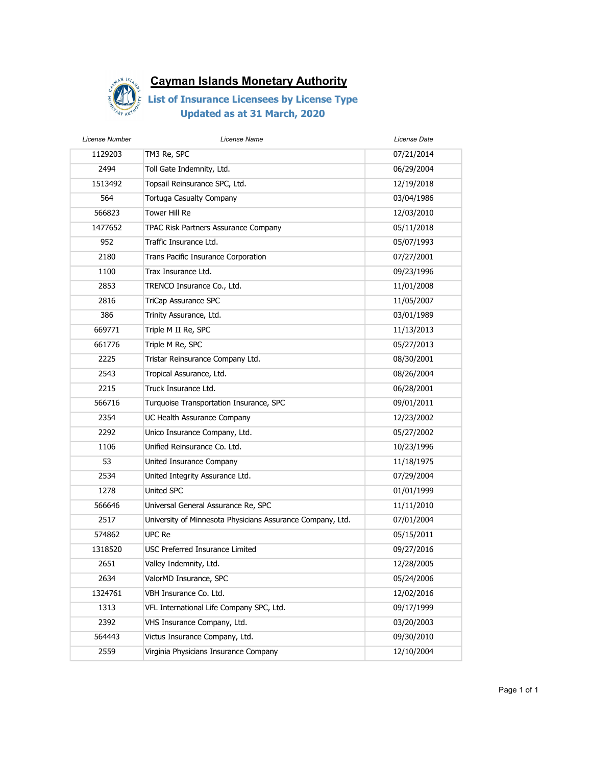

| License Number | License Name                                               | License Date |
|----------------|------------------------------------------------------------|--------------|
| 1129203        | TM3 Re, SPC                                                | 07/21/2014   |
| 2494           | Toll Gate Indemnity, Ltd.                                  | 06/29/2004   |
| 1513492        | Topsail Reinsurance SPC, Ltd.                              | 12/19/2018   |
| 564            | <b>Tortuga Casualty Company</b>                            | 03/04/1986   |
| 566823         | Tower Hill Re                                              | 12/03/2010   |
| 1477652        | TPAC Risk Partners Assurance Company                       | 05/11/2018   |
| 952            | Traffic Insurance Ltd.                                     | 05/07/1993   |
| 2180           | Trans Pacific Insurance Corporation                        | 07/27/2001   |
| 1100           | Trax Insurance Ltd.                                        | 09/23/1996   |
| 2853           | TRENCO Insurance Co., Ltd.                                 | 11/01/2008   |
| 2816           | TriCap Assurance SPC                                       | 11/05/2007   |
| 386            | Trinity Assurance, Ltd.                                    | 03/01/1989   |
| 669771         | Triple M II Re, SPC                                        | 11/13/2013   |
| 661776         | Triple M Re, SPC                                           | 05/27/2013   |
| 2225           | Tristar Reinsurance Company Ltd.                           | 08/30/2001   |
| 2543           | Tropical Assurance, Ltd.                                   | 08/26/2004   |
| 2215           | Truck Insurance Ltd.                                       | 06/28/2001   |
| 566716         | Turquoise Transportation Insurance, SPC                    | 09/01/2011   |
| 2354           | UC Health Assurance Company                                | 12/23/2002   |
| 2292           | Unico Insurance Company, Ltd.                              | 05/27/2002   |
| 1106           | Unified Reinsurance Co. Ltd.                               | 10/23/1996   |
| 53             | United Insurance Company                                   | 11/18/1975   |
| 2534           | United Integrity Assurance Ltd.                            | 07/29/2004   |
| 1278           | United SPC                                                 | 01/01/1999   |
| 566646         | Universal General Assurance Re, SPC                        | 11/11/2010   |
| 2517           | University of Minnesota Physicians Assurance Company, Ltd. | 07/01/2004   |
| 574862         | UPC Re                                                     | 05/15/2011   |
| 1318520        | <b>USC Preferred Insurance Limited</b>                     | 09/27/2016   |
| 2651           | Valley Indemnity, Ltd.                                     | 12/28/2005   |
| 2634           | ValorMD Insurance, SPC                                     | 05/24/2006   |
| 1324761        | VBH Insurance Co. Ltd.                                     | 12/02/2016   |
| 1313           | VFL International Life Company SPC, Ltd.                   | 09/17/1999   |
| 2392           | VHS Insurance Company, Ltd.                                | 03/20/2003   |
| 564443         | Victus Insurance Company, Ltd.                             | 09/30/2010   |
| 2559           | Virginia Physicians Insurance Company                      | 12/10/2004   |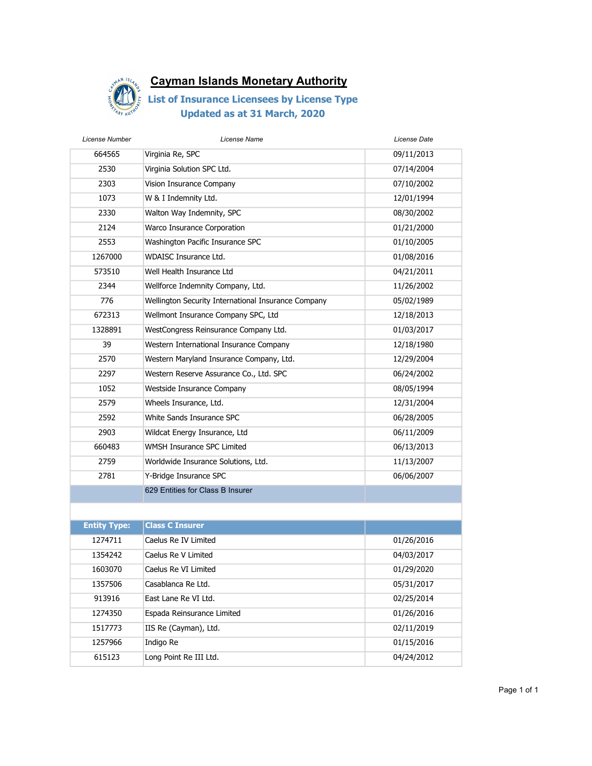

| License Number      | License Name                                        | License Date |
|---------------------|-----------------------------------------------------|--------------|
| 664565              | Virginia Re, SPC                                    | 09/11/2013   |
| 2530                | Virginia Solution SPC Ltd.                          | 07/14/2004   |
| 2303                | Vision Insurance Company                            | 07/10/2002   |
| 1073                | W & I Indemnity Ltd.                                | 12/01/1994   |
| 2330                | Walton Way Indemnity, SPC                           | 08/30/2002   |
| 2124                | Warco Insurance Corporation                         | 01/21/2000   |
| 2553                | Washington Pacific Insurance SPC                    | 01/10/2005   |
| 1267000             | <b>WDAISC Insurance Ltd.</b>                        | 01/08/2016   |
| 573510              | Well Health Insurance Ltd                           | 04/21/2011   |
| 2344                | Wellforce Indemnity Company, Ltd.                   | 11/26/2002   |
| 776                 | Wellington Security International Insurance Company | 05/02/1989   |
| 672313              | Wellmont Insurance Company SPC, Ltd                 | 12/18/2013   |
| 1328891             | WestCongress Reinsurance Company Ltd.               | 01/03/2017   |
| 39                  | Western International Insurance Company             | 12/18/1980   |
| 2570                | Western Maryland Insurance Company, Ltd.            | 12/29/2004   |
| 2297                | Western Reserve Assurance Co., Ltd. SPC             | 06/24/2002   |
| 1052                | Westside Insurance Company                          | 08/05/1994   |
| 2579                | Wheels Insurance, Ltd.                              | 12/31/2004   |
| 2592                | White Sands Insurance SPC                           | 06/28/2005   |
| 2903                | Wildcat Energy Insurance, Ltd                       | 06/11/2009   |
| 660483              | WMSH Insurance SPC Limited                          | 06/13/2013   |
| 2759                | Worldwide Insurance Solutions, Ltd.                 | 11/13/2007   |
| 2781                | Y-Bridge Insurance SPC                              | 06/06/2007   |
|                     | 629 Entities for Class B Insurer                    |              |
|                     |                                                     |              |
| <b>Entity Type:</b> | <b>Class C Insurer</b>                              |              |
| 1274711             | Caelus Re IV Limited                                | 01/26/2016   |
| 1354242             | Caelus Re V Limited                                 | 04/03/2017   |
| 1603070             | Caelus Re VI Limited                                | 01/29/2020   |
| 1357506             | Casablanca Re Ltd.                                  | 05/31/2017   |
| 913916              | East Lane Re VI Ltd.                                | 02/25/2014   |
| 1274350             | Espada Reinsurance Limited                          | 01/26/2016   |
| 1517773             | IIS Re (Cayman), Ltd.                               | 02/11/2019   |
| 1257966             | Indigo Re                                           | 01/15/2016   |
| 615123              | Long Point Re III Ltd.                              | 04/24/2012   |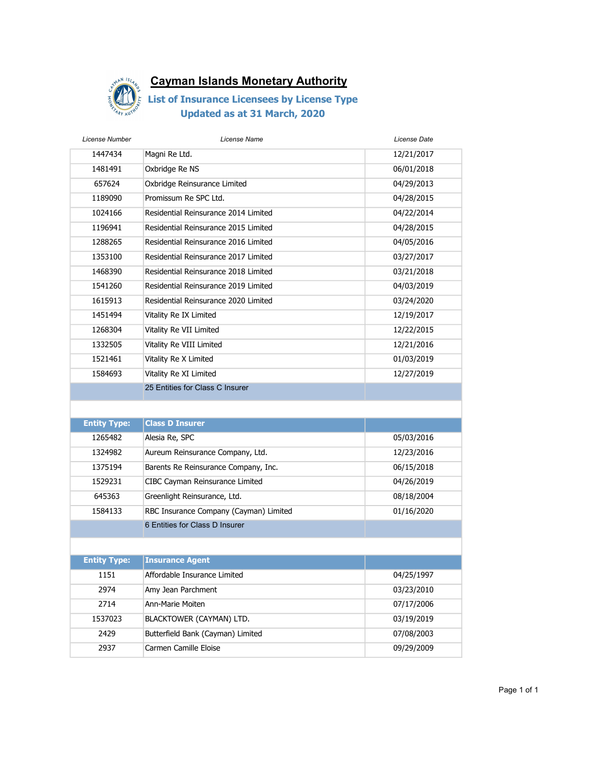

| License Number      | License Name                           | License Date |
|---------------------|----------------------------------------|--------------|
| 1447434             | Magni Re Ltd.                          | 12/21/2017   |
| 1481491             | Oxbridge Re NS                         | 06/01/2018   |
| 657624              | Oxbridge Reinsurance Limited           | 04/29/2013   |
| 1189090             | Promissum Re SPC Ltd.                  | 04/28/2015   |
| 1024166             | Residential Reinsurance 2014 Limited   | 04/22/2014   |
| 1196941             | Residential Reinsurance 2015 Limited   | 04/28/2015   |
| 1288265             | Residential Reinsurance 2016 Limited   | 04/05/2016   |
| 1353100             | Residential Reinsurance 2017 Limited   | 03/27/2017   |
| 1468390             | Residential Reinsurance 2018 Limited   | 03/21/2018   |
| 1541260             | Residential Reinsurance 2019 Limited   | 04/03/2019   |
| 1615913             | Residential Reinsurance 2020 Limited   | 03/24/2020   |
| 1451494             | Vitality Re IX Limited                 | 12/19/2017   |
| 1268304             | Vitality Re VII Limited                | 12/22/2015   |
| 1332505             | Vitality Re VIII Limited               | 12/21/2016   |
| 1521461             | Vitality Re X Limited                  | 01/03/2019   |
| 1584693             | Vitality Re XI Limited                 | 12/27/2019   |
|                     | 25 Entities for Class C Insurer        |              |
|                     |                                        |              |
| <b>Entity Type:</b> | <b>Class D Insurer</b>                 |              |
| 1265482             | Alesia Re, SPC                         | 05/03/2016   |
| 1324982             | Aureum Reinsurance Company, Ltd.       | 12/23/2016   |
| 1375194             | Barents Re Reinsurance Company, Inc.   | 06/15/2018   |
| 1529231             | CIBC Cayman Reinsurance Limited        | 04/26/2019   |
| 645363              | Greenlight Reinsurance, Ltd.           | 08/18/2004   |
| 1584133             | RBC Insurance Company (Cayman) Limited | 01/16/2020   |
|                     | 6 Entities for Class D Insurer         |              |
|                     |                                        |              |
| <b>Entity Type:</b> | <b>Insurance Agent</b>                 |              |
| 1151                | Affordable Insurance Limited           | 04/25/1997   |
| 2974                | Amy Jean Parchment                     | 03/23/2010   |
| 2714                | Ann-Marie Moiten                       | 07/17/2006   |
| 1537023             | BLACKTOWER (CAYMAN) LTD.               | 03/19/2019   |
| 2429                | Butterfield Bank (Cayman) Limited      | 07/08/2003   |
| 2937                | Carmen Camille Eloise                  | 09/29/2009   |
|                     |                                        |              |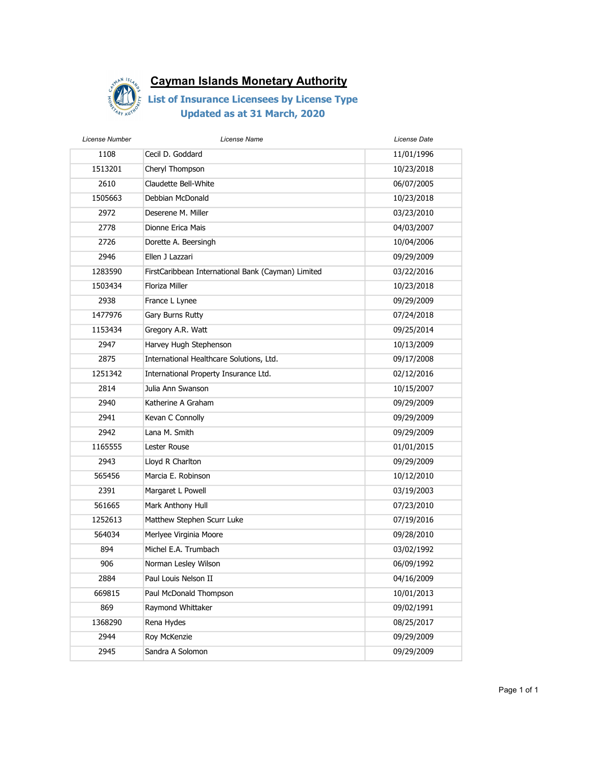

| License Name                                       | License Date |
|----------------------------------------------------|--------------|
| Cecil D. Goddard                                   | 11/01/1996   |
| Cheryl Thompson                                    | 10/23/2018   |
| Claudette Bell-White                               | 06/07/2005   |
| Debbian McDonald                                   | 10/23/2018   |
| Deserene M. Miller                                 | 03/23/2010   |
| Dionne Erica Mais                                  | 04/03/2007   |
| Dorette A. Beersingh                               | 10/04/2006   |
| Ellen J Lazzari                                    | 09/29/2009   |
| FirstCaribbean International Bank (Cayman) Limited | 03/22/2016   |
| Floriza Miller                                     | 10/23/2018   |
| France L Lynee                                     | 09/29/2009   |
| Gary Burns Rutty                                   | 07/24/2018   |
| Gregory A.R. Watt                                  | 09/25/2014   |
| Harvey Hugh Stephenson                             | 10/13/2009   |
| International Healthcare Solutions, Ltd.           | 09/17/2008   |
| International Property Insurance Ltd.              | 02/12/2016   |
| Julia Ann Swanson                                  | 10/15/2007   |
| Katherine A Graham                                 | 09/29/2009   |
| Kevan C Connolly                                   | 09/29/2009   |
| Lana M. Smith                                      | 09/29/2009   |
| Lester Rouse                                       | 01/01/2015   |
| Lloyd R Charlton                                   | 09/29/2009   |
| Marcia E. Robinson                                 | 10/12/2010   |
| Margaret L Powell                                  | 03/19/2003   |
| Mark Anthony Hull                                  | 07/23/2010   |
| Matthew Stephen Scurr Luke                         | 07/19/2016   |
| Merlyee Virginia Moore                             | 09/28/2010   |
| Michel E.A. Trumbach                               | 03/02/1992   |
| Norman Lesley Wilson                               | 06/09/1992   |
| Paul Louis Nelson II                               | 04/16/2009   |
| Paul McDonald Thompson                             | 10/01/2013   |
| Raymond Whittaker                                  | 09/02/1991   |
| Rena Hydes                                         | 08/25/2017   |
| Roy McKenzie                                       | 09/29/2009   |
| Sandra A Solomon                                   | 09/29/2009   |
|                                                    |              |